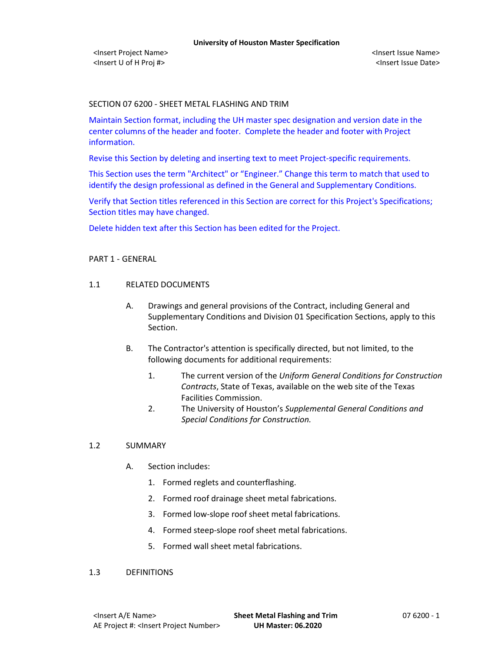### SECTION 07 6200 - SHEET METAL FLASHING AND TRIM

Maintain Section format, including the UH master spec designation and version date in the center columns of the header and footer. Complete the header and footer with Project information.

Revise this Section by deleting and inserting text to meet Project-specific requirements.

This Section uses the term "Architect" or "Engineer." Change this term to match that used to identify the design professional as defined in the General and Supplementary Conditions.

Verify that Section titles referenced in this Section are correct for this Project's Specifications; Section titles may have changed.

Delete hidden text after this Section has been edited for the Project.

# PART 1 - GENERAL

# 1.1 RELATED DOCUMENTS

- A. Drawings and general provisions of the Contract, including General and Supplementary Conditions and Division 01 Specification Sections, apply to this Section.
- B. The Contractor's attention is specifically directed, but not limited, to the following documents for additional requirements:
	- 1. The current version of the *Uniform General Conditions for Construction Contracts*, State of Texas, available on the web site of the Texas Facilities Commission.
	- 2. The University of Houston's *Supplemental General Conditions and Special Conditions for Construction.*

#### 1.2 SUMMARY

- A. Section includes:
	- 1. Formed reglets and counterflashing.
	- 2. Formed roof drainage sheet metal fabrications.
	- 3. Formed low-slope roof sheet metal fabrications.
	- 4. Formed steep-slope roof sheet metal fabrications.
	- 5. Formed wall sheet metal fabrications.

#### 1.3 DEFINITIONS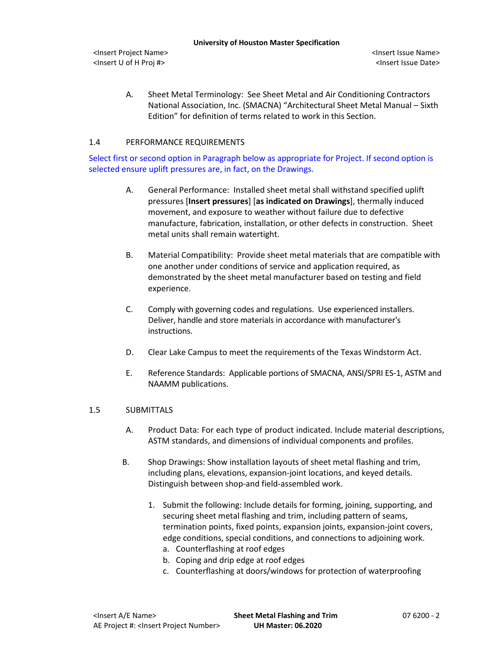A. Sheet Metal Terminology: See Sheet Metal and Air Conditioning Contractors National Association, Inc. (SMACNA) "Architectural Sheet Metal Manual – Sixth Edition" for definition of terms related to work in this Section.

# 1.4 PERFORMANCE REQUIREMENTS

Select first or second option in Paragraph below as appropriate for Project. If second option is selected ensure uplift pressures are, in fact, on the Drawings.

- A. General Performance: Installed sheet metal shall withstand specified uplift pressures [**Insert pressures**] [**as indicated on Drawings**], thermally induced movement, and exposure to weather without failure due to defective manufacture, fabrication, installation, or other defects in construction. Sheet metal units shall remain watertight.
- B. Material Compatibility: Provide sheet metal materials that are compatible with one another under conditions of service and application required, as demonstrated by the sheet metal manufacturer based on testing and field experience.
- C. Comply with governing codes and regulations. Use experienced installers. Deliver, handle and store materials in accordance with manufacturer's instructions.
- D. Clear Lake Campus to meet the requirements of the Texas Windstorm Act.
- E. Reference Standards: Applicable portions of SMACNA, ANSI/SPRI ES-1, ASTM and NAAMM publications.

#### 1.5 SUBMITTALS

- A. Product Data: For each type of product indicated. Include material descriptions, ASTM standards, and dimensions of individual components and profiles.
- B. Shop Drawings: Show installation layouts of sheet metal flashing and trim, including plans, elevations, expansion-joint locations, and keyed details. Distinguish between shop-and field-assembled work.
	- 1. Submit the following: Include details for forming, joining, supporting, and securing sheet metal flashing and trim, including pattern of seams, termination points, fixed points, expansion joints, expansion-joint covers, edge conditions, special conditions, and connections to adjoining work.
		- a. Counterflashing at roof edges
		- b. Coping and drip edge at roof edges
		- c. Counterflashing at doors/windows for protection of waterproofing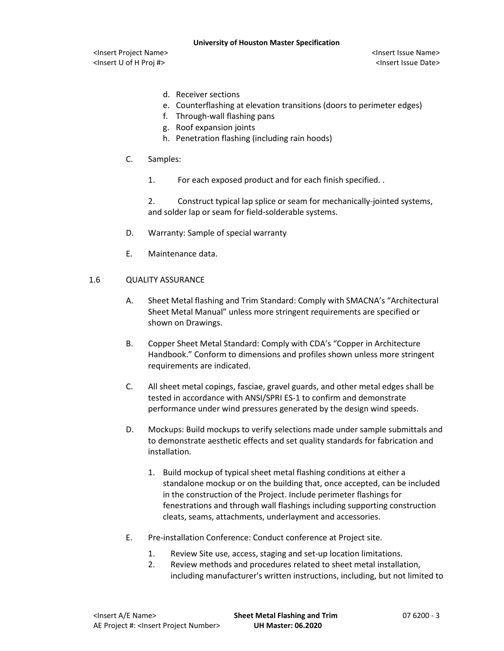**University of Houston Master Specification**

<Insert Project Name> <Insert Issue Name> <Insert U of H Proj #> <Insert Issue Date>

- d. Receiver sections
- e. Counterflashing at elevation transitions (doors to perimeter edges)
- f. Through-wall flashing pans
- g. Roof expansion joints
- h. Penetration flashing (including rain hoods)
- C. Samples:
	- 1. For each exposed product and for each finish specified. .

2. Construct typical lap splice or seam for mechanically-jointed systems, and solder lap or seam for field-solderable systems.

- D. Warranty: Sample of special warranty
- E. Maintenance data.

# 1.6 QUALITY ASSURANCE

- A. Sheet Metal flashing and Trim Standard: Comply with SMACNA's "Architectural Sheet Metal Manual" unless more stringent requirements are specified or shown on Drawings.
- B. Copper Sheet Metal Standard: Comply with CDA's "Copper in Architecture Handbook." Conform to dimensions and profiles shown unless more stringent requirements are indicated.
- C. All sheet metal copings, fasciae, gravel guards, and other metal edges shall be tested in accordance with ANSI/SPRI ES-1 to confirm and demonstrate performance under wind pressures generated by the design wind speeds.
- D. Mockups: Build mockups to verify selections made under sample submittals and to demonstrate aesthetic effects and set quality standards for fabrication and installation.
	- 1. Build mockup of typical sheet metal flashing conditions at either a standalone mockup or on the building that, once accepted, can be included in the construction of the Project. Include perimeter flashings for fenestrations and through wall flashings including supporting construction cleats, seams, attachments, underlayment and accessories.
- E. Pre-installation Conference: Conduct conference at Project site.
	- 1. Review Site use, access, staging and set-up location limitations.
	- 2. Review methods and procedures related to sheet metal installation, including manufacturer's written instructions, including, but not limited to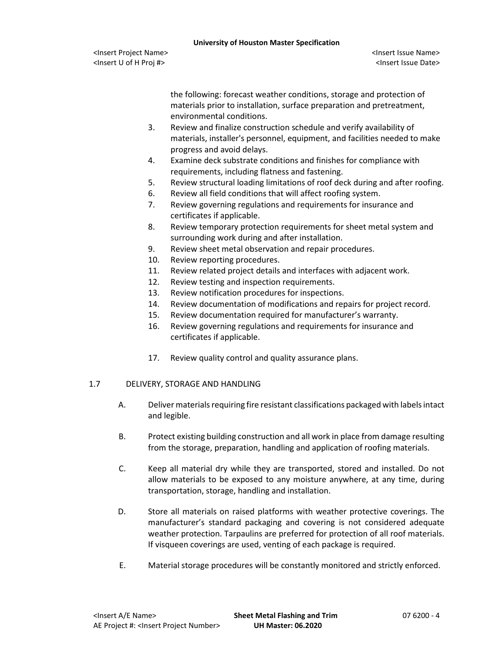the following: forecast weather conditions, storage and protection of materials prior to installation, surface preparation and pretreatment, environmental conditions.

- 3. Review and finalize construction schedule and verify availability of materials, installer's personnel, equipment, and facilities needed to make progress and avoid delays.
- 4. Examine deck substrate conditions and finishes for compliance with requirements, including flatness and fastening.
- 5. Review structural loading limitations of roof deck during and after roofing.
- 6. Review all field conditions that will affect roofing system.
- 7. Review governing regulations and requirements for insurance and certificates if applicable.
- 8. Review temporary protection requirements for sheet metal system and surrounding work during and after installation.
- 9. Review sheet metal observation and repair procedures.
- 10. Review reporting procedures.
- 11. Review related project details and interfaces with adjacent work.
- 12. Review testing and inspection requirements.
- 13. Review notification procedures for inspections.
- 14. Review documentation of modifications and repairs for project record.
- 15. Review documentation required for manufacturer's warranty.
- 16. Review governing regulations and requirements for insurance and certificates if applicable.
- 17. Review quality control and quality assurance plans.

# 1.7 DELIVERY, STORAGE AND HANDLING

- A. Deliver materials requiring fire resistant classifications packaged with labels intact and legible.
- B. Protect existing building construction and all work in place from damage resulting from the storage, preparation, handling and application of roofing materials.
- C. Keep all material dry while they are transported, stored and installed. Do not allow materials to be exposed to any moisture anywhere, at any time, during transportation, storage, handling and installation.
- D. Store all materials on raised platforms with weather protective coverings. The manufacturer's standard packaging and covering is not considered adequate weather protection. Tarpaulins are preferred for protection of all roof materials. If visqueen coverings are used, venting of each package is required.
- E. Material storage procedures will be constantly monitored and strictly enforced.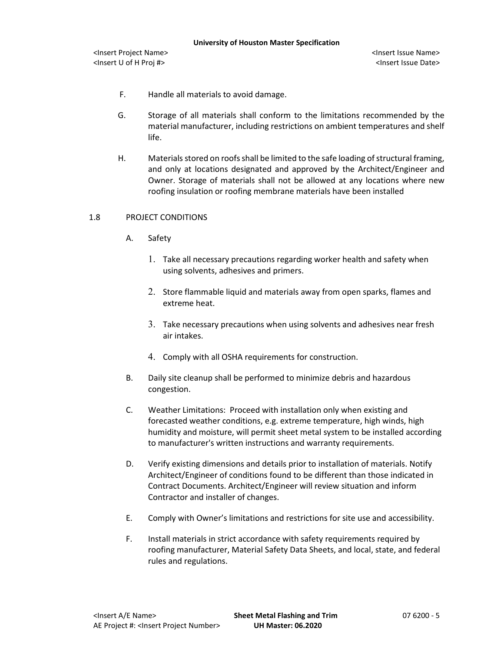- F. Handle all materials to avoid damage.
- G. Storage of all materials shall conform to the limitations recommended by the material manufacturer, including restrictions on ambient temperatures and shelf life.
- H. Materials stored on roofs shall be limited to the safe loading of structural framing, and only at locations designated and approved by the Architect/Engineer and Owner. Storage of materials shall not be allowed at any locations where new roofing insulation or roofing membrane materials have been installed

# 1.8 PROJECT CONDITIONS

- A. Safety
	- 1. Take all necessary precautions regarding worker health and safety when using solvents, adhesives and primers.
	- 2. Store flammable liquid and materials away from open sparks, flames and extreme heat.
	- 3. Take necessary precautions when using solvents and adhesives near fresh air intakes.
	- 4. Comply with all OSHA requirements for construction.
- B. Daily site cleanup shall be performed to minimize debris and hazardous congestion.
- C. Weather Limitations: Proceed with installation only when existing and forecasted weather conditions, e.g. extreme temperature, high winds, high humidity and moisture, will permit sheet metal system to be installed according to manufacturer's written instructions and warranty requirements.
- D. Verify existing dimensions and details prior to installation of materials. Notify Architect/Engineer of conditions found to be different than those indicated in Contract Documents. Architect/Engineer will review situation and inform Contractor and installer of changes.
- E. Comply with Owner's limitations and restrictions for site use and accessibility.
- F. Install materials in strict accordance with safety requirements required by roofing manufacturer, Material Safety Data Sheets, and local, state, and federal rules and regulations.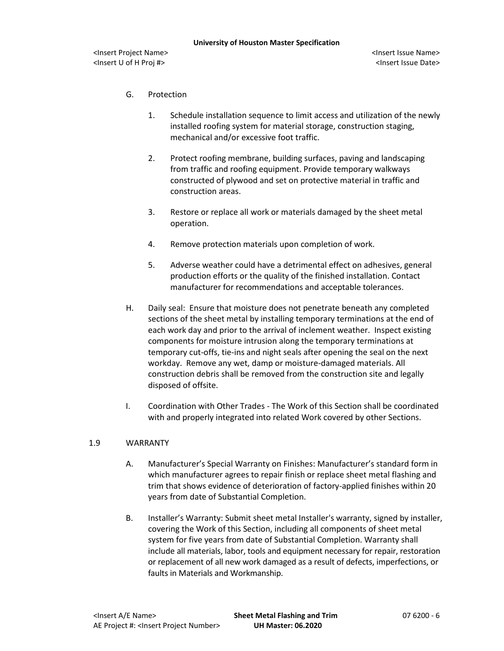- G. Protection
	- 1. Schedule installation sequence to limit access and utilization of the newly installed roofing system for material storage, construction staging, mechanical and/or excessive foot traffic.
	- 2. Protect roofing membrane, building surfaces, paving and landscaping from traffic and roofing equipment. Provide temporary walkways constructed of plywood and set on protective material in traffic and construction areas.
	- 3. Restore or replace all work or materials damaged by the sheet metal operation.
	- 4. Remove protection materials upon completion of work.
	- 5. Adverse weather could have a detrimental effect on adhesives, general production efforts or the quality of the finished installation. Contact manufacturer for recommendations and acceptable tolerances.
- H. Daily seal: Ensure that moisture does not penetrate beneath any completed sections of the sheet metal by installing temporary terminations at the end of each work day and prior to the arrival of inclement weather. Inspect existing components for moisture intrusion along the temporary terminations at temporary cut-offs, tie-ins and night seals after opening the seal on the next workday. Remove any wet, damp or moisture-damaged materials. All construction debris shall be removed from the construction site and legally disposed of offsite.
- I. Coordination with Other Trades The Work of this Section shall be coordinated with and properly integrated into related Work covered by other Sections.

#### 1.9 WARRANTY

- A. Manufacturer's Special Warranty on Finishes: Manufacturer's standard form in which manufacturer agrees to repair finish or replace sheet metal flashing and trim that shows evidence of deterioration of factory-applied finishes within 20 years from date of Substantial Completion.
- B. Installer's Warranty: Submit sheet metal Installer's warranty, signed by installer, covering the Work of this Section, including all components of sheet metal system for five years from date of Substantial Completion. Warranty shall include all materials, labor, tools and equipment necessary for repair, restoration or replacement of all new work damaged as a result of defects, imperfections, or faults in Materials and Workmanship.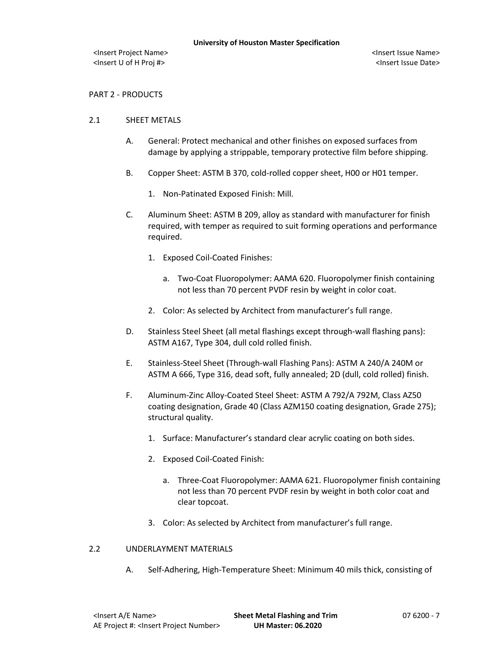# PART 2 - PRODUCTS

### 2.1 SHEET METALS

- A. General: Protect mechanical and other finishes on exposed surfaces from damage by applying a strippable, temporary protective film before shipping.
- B. Copper Sheet: ASTM B 370, cold-rolled copper sheet, H00 or H01 temper.
	- 1. Non-Patinated Exposed Finish: Mill.
- C. Aluminum Sheet: ASTM B 209, alloy as standard with manufacturer for finish required, with temper as required to suit forming operations and performance required.
	- 1. Exposed Coil-Coated Finishes:
		- a. Two-Coat Fluoropolymer: AAMA 620. Fluoropolymer finish containing not less than 70 percent PVDF resin by weight in color coat.
	- 2. Color: As selected by Architect from manufacturer's full range.
- D. Stainless Steel Sheet (all metal flashings except through-wall flashing pans): ASTM A167, Type 304, dull cold rolled finish.
- E. Stainless-Steel Sheet (Through-wall Flashing Pans): ASTM A 240/A 240M or ASTM A 666, Type 316, dead soft, fully annealed; 2D (dull, cold rolled) finish.
- F. Aluminum-Zinc Alloy-Coated Steel Sheet: ASTM A 792/A 792M, Class AZ50 coating designation, Grade 40 (Class AZM150 coating designation, Grade 275); structural quality.
	- 1. Surface: Manufacturer's standard clear acrylic coating on both sides.
	- 2. Exposed Coil-Coated Finish:
		- a. Three-Coat Fluoropolymer: AAMA 621. Fluoropolymer finish containing not less than 70 percent PVDF resin by weight in both color coat and clear topcoat.
	- 3. Color: As selected by Architect from manufacturer's full range.

#### 2.2 UNDERLAYMENT MATERIALS

A. Self-Adhering, High-Temperature Sheet: Minimum 40 mils thick, consisting of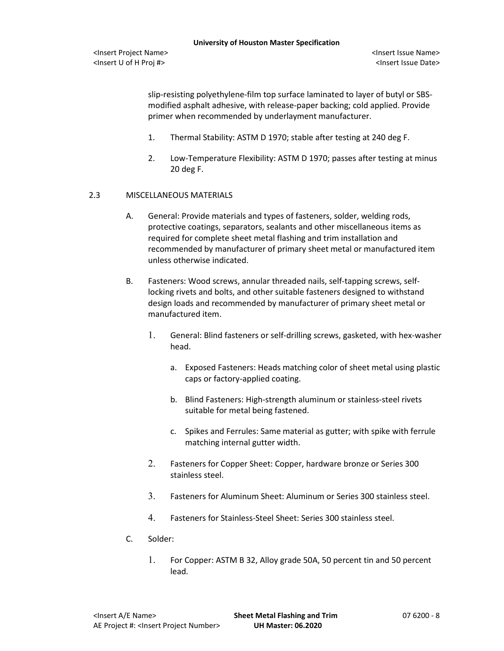slip-resisting polyethylene-film top surface laminated to layer of butyl or SBSmodified asphalt adhesive, with release-paper backing; cold applied. Provide primer when recommended by underlayment manufacturer.

- 1. Thermal Stability: ASTM D 1970; stable after testing at 240 deg F.
- 2. Low-Temperature Flexibility: ASTM D 1970; passes after testing at minus 20 deg F.

# 2.3 MISCELLANEOUS MATERIALS

- A. General: Provide materials and types of fasteners, solder, welding rods, protective coatings, separators, sealants and other miscellaneous items as required for complete sheet metal flashing and trim installation and recommended by manufacturer of primary sheet metal or manufactured item unless otherwise indicated.
- B. Fasteners: Wood screws, annular threaded nails, self-tapping screws, selflocking rivets and bolts, and other suitable fasteners designed to withstand design loads and recommended by manufacturer of primary sheet metal or manufactured item.
	- 1. General: Blind fasteners or self-drilling screws, gasketed, with hex-washer head.
		- a. Exposed Fasteners: Heads matching color of sheet metal using plastic caps or factory-applied coating.
		- b. Blind Fasteners: High-strength aluminum or stainless-steel rivets suitable for metal being fastened.
		- c. Spikes and Ferrules: Same material as gutter; with spike with ferrule matching internal gutter width.
	- 2. Fasteners for Copper Sheet: Copper, hardware bronze or Series 300 stainless steel.
	- 3. Fasteners for Aluminum Sheet: Aluminum or Series 300 stainless steel.
	- 4. Fasteners for Stainless-Steel Sheet: Series 300 stainless steel.
- C. Solder:
	- 1. For Copper: ASTM B 32, Alloy grade 50A, 50 percent tin and 50 percent lead.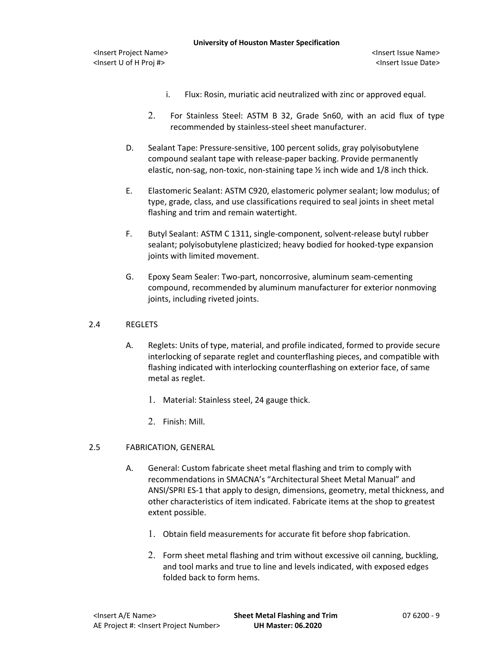<Insert U of H Proj #> <Insert Issue Date>

- i. Flux: Rosin, muriatic acid neutralized with zinc or approved equal.
- 2. For Stainless Steel: ASTM B 32, Grade Sn60, with an acid flux of type recommended by stainless-steel sheet manufacturer.
- D. Sealant Tape: Pressure-sensitive, 100 percent solids, gray polyisobutylene compound sealant tape with release-paper backing. Provide permanently elastic, non-sag, non-toxic, non-staining tape ½ inch wide and 1/8 inch thick.
- E. Elastomeric Sealant: ASTM C920, elastomeric polymer sealant; low modulus; of type, grade, class, and use classifications required to seal joints in sheet metal flashing and trim and remain watertight.
- F. Butyl Sealant: ASTM C 1311, single-component, solvent-release butyl rubber sealant; polyisobutylene plasticized; heavy bodied for hooked-type expansion joints with limited movement.
- G. Epoxy Seam Sealer: Two-part, noncorrosive, aluminum seam-cementing compound, recommended by aluminum manufacturer for exterior nonmoving joints, including riveted joints.

# 2.4 REGLETS

- A. Reglets: Units of type, material, and profile indicated, formed to provide secure interlocking of separate reglet and counterflashing pieces, and compatible with flashing indicated with interlocking counterflashing on exterior face, of same metal as reglet.
	- 1. Material: Stainless steel, 24 gauge thick.
	- 2. Finish: Mill.

# 2.5 FABRICATION, GENERAL

- A. General: Custom fabricate sheet metal flashing and trim to comply with recommendations in SMACNA's "Architectural Sheet Metal Manual" and ANSI/SPRI ES-1 that apply to design, dimensions, geometry, metal thickness, and other characteristics of item indicated. Fabricate items at the shop to greatest extent possible.
	- 1. Obtain field measurements for accurate fit before shop fabrication.
	- 2. Form sheet metal flashing and trim without excessive oil canning, buckling, and tool marks and true to line and levels indicated, with exposed edges folded back to form hems.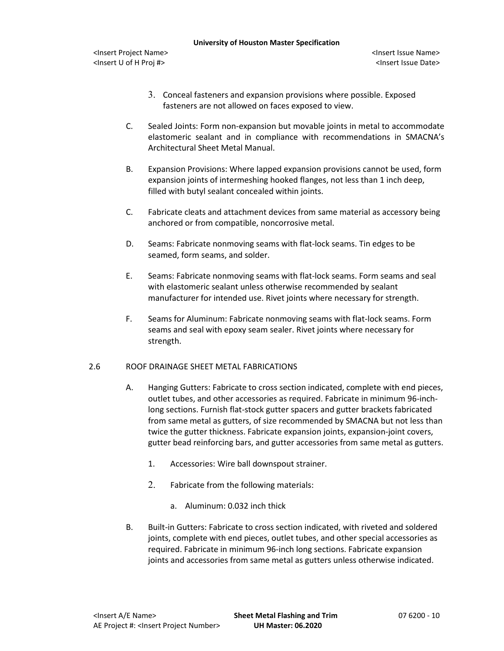- 3. Conceal fasteners and expansion provisions where possible. Exposed fasteners are not allowed on faces exposed to view.
- C. Sealed Joints: Form non-expansion but movable joints in metal to accommodate elastomeric sealant and in compliance with recommendations in SMACNA's Architectural Sheet Metal Manual.
- B. Expansion Provisions: Where lapped expansion provisions cannot be used, form expansion joints of intermeshing hooked flanges, not less than 1 inch deep, filled with butyl sealant concealed within joints.
- C. Fabricate cleats and attachment devices from same material as accessory being anchored or from compatible, noncorrosive metal.
- D. Seams: Fabricate nonmoving seams with flat-lock seams. Tin edges to be seamed, form seams, and solder.
- E. Seams: Fabricate nonmoving seams with flat-lock seams. Form seams and seal with elastomeric sealant unless otherwise recommended by sealant manufacturer for intended use. Rivet joints where necessary for strength.
- F. Seams for Aluminum: Fabricate nonmoving seams with flat-lock seams. Form seams and seal with epoxy seam sealer. Rivet joints where necessary for strength.

# 2.6 ROOF DRAINAGE SHEET METAL FABRICATIONS

- A. Hanging Gutters: Fabricate to cross section indicated, complete with end pieces, outlet tubes, and other accessories as required. Fabricate in minimum 96-inchlong sections. Furnish flat-stock gutter spacers and gutter brackets fabricated from same metal as gutters, of size recommended by SMACNA but not less than twice the gutter thickness. Fabricate expansion joints, expansion-joint covers, gutter bead reinforcing bars, and gutter accessories from same metal as gutters.
	- 1. Accessories: Wire ball downspout strainer.
	- 2. Fabricate from the following materials:
		- a. Aluminum: 0.032 inch thick
- B. Built-in Gutters: Fabricate to cross section indicated, with riveted and soldered joints, complete with end pieces, outlet tubes, and other special accessories as required. Fabricate in minimum 96-inch long sections. Fabricate expansion joints and accessories from same metal as gutters unless otherwise indicated.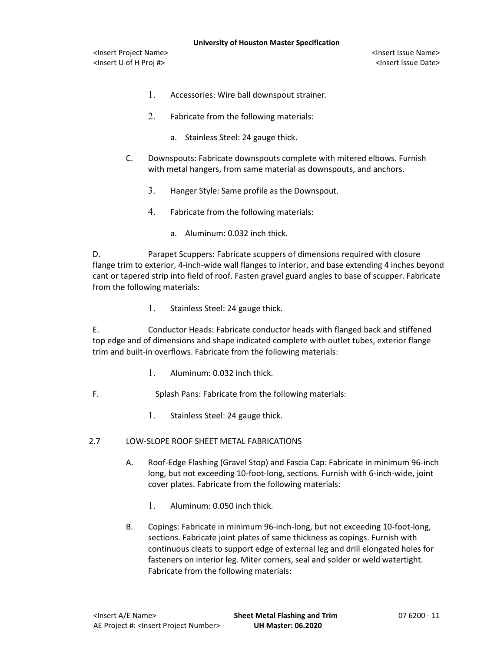- 1. Accessories: Wire ball downspout strainer.
- 2. Fabricate from the following materials:
	- a. Stainless Steel: 24 gauge thick.
- C. Downspouts: Fabricate downspouts complete with mitered elbows. Furnish with metal hangers, from same material as downspouts, and anchors.
	- 3. Hanger Style: Same profile as the Downspout.
	- 4. Fabricate from the following materials:
		- a. Aluminum: 0.032 inch thick.

D. Parapet Scuppers: Fabricate scuppers of dimensions required with closure flange trim to exterior, 4-inch-wide wall flanges to interior, and base extending 4 inches beyond cant or tapered strip into field of roof. Fasten gravel guard angles to base of scupper. Fabricate from the following materials:

1. Stainless Steel: 24 gauge thick.

E. Conductor Heads: Fabricate conductor heads with flanged back and stiffened top edge and of dimensions and shape indicated complete with outlet tubes, exterior flange trim and built-in overflows. Fabricate from the following materials:

- 1. Aluminum: 0.032 inch thick.
- F. Splash Pans: Fabricate from the following materials:
	- 1. Stainless Steel: 24 gauge thick.
- 2.7 LOW-SLOPE ROOF SHEET METAL FABRICATIONS
	- A. Roof-Edge Flashing (Gravel Stop) and Fascia Cap: Fabricate in minimum 96-inch long, but not exceeding 10-foot-long, sections. Furnish with 6-inch-wide, joint cover plates. Fabricate from the following materials:
		- 1. Aluminum: 0.050 inch thick.
	- B. Copings: Fabricate in minimum 96-inch-long, but not exceeding 10-foot-long, sections. Fabricate joint plates of same thickness as copings. Furnish with continuous cleats to support edge of external leg and drill elongated holes for fasteners on interior leg. Miter corners, seal and solder or weld watertight. Fabricate from the following materials: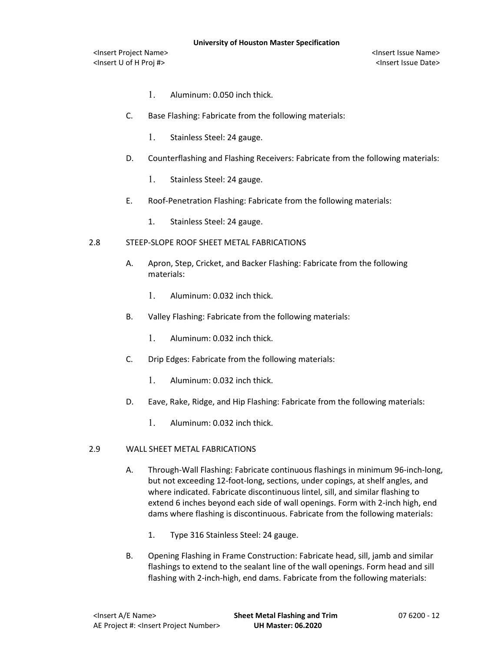- 1. Aluminum: 0.050 inch thick.
- C. Base Flashing: Fabricate from the following materials:
	- 1. Stainless Steel: 24 gauge.
- D. Counterflashing and Flashing Receivers: Fabricate from the following materials:
	- 1. Stainless Steel: 24 gauge.
- E. Roof-Penetration Flashing: Fabricate from the following materials:
	- 1. Stainless Steel: 24 gauge.

#### 2.8 STEEP-SLOPE ROOF SHEET METAL FABRICATIONS

- A. Apron, Step, Cricket, and Backer Flashing: Fabricate from the following materials:
	- 1. Aluminum: 0.032 inch thick.
- B. Valley Flashing: Fabricate from the following materials:
	- 1. Aluminum: 0.032 inch thick.
- C. Drip Edges: Fabricate from the following materials:
	- 1. Aluminum: 0.032 inch thick.
- D. Eave, Rake, Ridge, and Hip Flashing: Fabricate from the following materials:
	- 1. Aluminum: 0.032 inch thick.

### 2.9 WALL SHEET METAL FABRICATIONS

- A. Through-Wall Flashing: Fabricate continuous flashings in minimum 96-inch-long, but not exceeding 12-foot-long, sections, under copings, at shelf angles, and where indicated. Fabricate discontinuous lintel, sill, and similar flashing to extend 6 inches beyond each side of wall openings. Form with 2-inch high, end dams where flashing is discontinuous. Fabricate from the following materials:
	- 1. Type 316 Stainless Steel: 24 gauge.
- B. Opening Flashing in Frame Construction: Fabricate head, sill, jamb and similar flashings to extend to the sealant line of the wall openings. Form head and sill flashing with 2-inch-high, end dams. Fabricate from the following materials: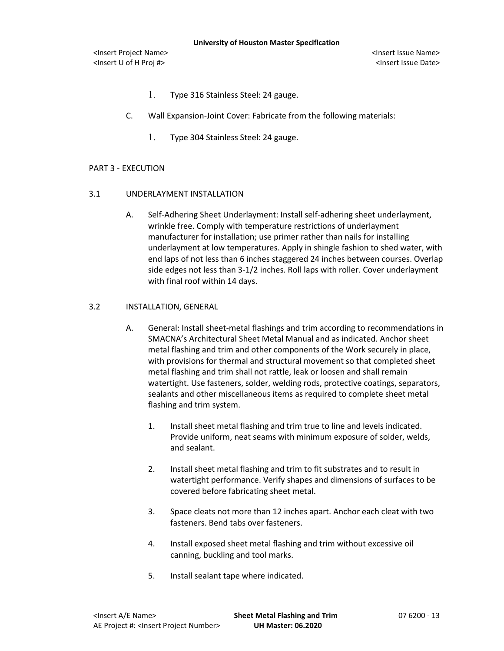- 1. Type 316 Stainless Steel: 24 gauge.
- C. Wall Expansion-Joint Cover: Fabricate from the following materials:
	- 1. Type 304 Stainless Steel: 24 gauge.

#### PART 3 - EXECUTION

#### 3.1 UNDERLAYMENT INSTALLATION

A. Self-Adhering Sheet Underlayment: Install self-adhering sheet underlayment, wrinkle free. Comply with temperature restrictions of underlayment manufacturer for installation; use primer rather than nails for installing underlayment at low temperatures. Apply in shingle fashion to shed water, with end laps of not less than 6 inches staggered 24 inches between courses. Overlap side edges not less than 3-1/2 inches. Roll laps with roller. Cover underlayment with final roof within 14 days.

### 3.2 INSTALLATION, GENERAL

- A. General: Install sheet-metal flashings and trim according to recommendations in SMACNA's Architectural Sheet Metal Manual and as indicated. Anchor sheet metal flashing and trim and other components of the Work securely in place, with provisions for thermal and structural movement so that completed sheet metal flashing and trim shall not rattle, leak or loosen and shall remain watertight. Use fasteners, solder, welding rods, protective coatings, separators, sealants and other miscellaneous items as required to complete sheet metal flashing and trim system.
	- 1. Install sheet metal flashing and trim true to line and levels indicated. Provide uniform, neat seams with minimum exposure of solder, welds, and sealant.
	- 2. Install sheet metal flashing and trim to fit substrates and to result in watertight performance. Verify shapes and dimensions of surfaces to be covered before fabricating sheet metal.
	- 3. Space cleats not more than 12 inches apart. Anchor each cleat with two fasteners. Bend tabs over fasteners.
	- 4. Install exposed sheet metal flashing and trim without excessive oil canning, buckling and tool marks.
	- 5. Install sealant tape where indicated.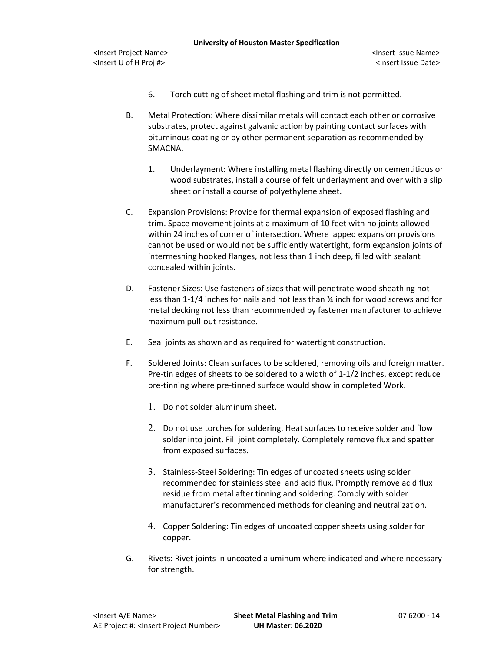- 6. Torch cutting of sheet metal flashing and trim is not permitted.
- B. Metal Protection: Where dissimilar metals will contact each other or corrosive substrates, protect against galvanic action by painting contact surfaces with bituminous coating or by other permanent separation as recommended by SMACNA.
	- 1. Underlayment: Where installing metal flashing directly on cementitious or wood substrates, install a course of felt underlayment and over with a slip sheet or install a course of polyethylene sheet.
- C. Expansion Provisions: Provide for thermal expansion of exposed flashing and trim. Space movement joints at a maximum of 10 feet with no joints allowed within 24 inches of corner of intersection. Where lapped expansion provisions cannot be used or would not be sufficiently watertight, form expansion joints of intermeshing hooked flanges, not less than 1 inch deep, filled with sealant concealed within joints.
- D. Fastener Sizes: Use fasteners of sizes that will penetrate wood sheathing not less than 1-1/4 inches for nails and not less than ¾ inch for wood screws and for metal decking not less than recommended by fastener manufacturer to achieve maximum pull-out resistance.
- E. Seal joints as shown and as required for watertight construction.
- F. Soldered Joints: Clean surfaces to be soldered, removing oils and foreign matter. Pre-tin edges of sheets to be soldered to a width of 1-1/2 inches, except reduce pre-tinning where pre-tinned surface would show in completed Work.
	- 1. Do not solder aluminum sheet.
	- 2. Do not use torches for soldering. Heat surfaces to receive solder and flow solder into joint. Fill joint completely. Completely remove flux and spatter from exposed surfaces.
	- 3. Stainless-Steel Soldering: Tin edges of uncoated sheets using solder recommended for stainless steel and acid flux. Promptly remove acid flux residue from metal after tinning and soldering. Comply with solder manufacturer's recommended methods for cleaning and neutralization.
	- 4. Copper Soldering: Tin edges of uncoated copper sheets using solder for copper.
- G. Rivets: Rivet joints in uncoated aluminum where indicated and where necessary for strength.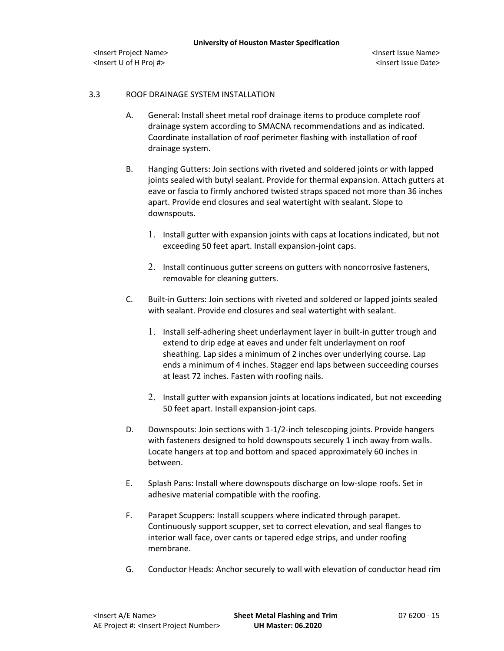**University of Houston Master Specification**

<Insert Project Name> <Insert Issue Name> <Insert U of H Proj #> <Insert Issue Date>

# 3.3 ROOF DRAINAGE SYSTEM INSTALLATION

- A. General: Install sheet metal roof drainage items to produce complete roof drainage system according to SMACNA recommendations and as indicated. Coordinate installation of roof perimeter flashing with installation of roof drainage system.
- B. Hanging Gutters: Join sections with riveted and soldered joints or with lapped joints sealed with butyl sealant. Provide for thermal expansion. Attach gutters at eave or fascia to firmly anchored twisted straps spaced not more than 36 inches apart. Provide end closures and seal watertight with sealant. Slope to downspouts.
	- 1. Install gutter with expansion joints with caps at locations indicated, but not exceeding 50 feet apart. Install expansion-joint caps.
	- 2. Install continuous gutter screens on gutters with noncorrosive fasteners, removable for cleaning gutters.
- C. Built-in Gutters: Join sections with riveted and soldered or lapped joints sealed with sealant. Provide end closures and seal watertight with sealant.
	- 1. Install self-adhering sheet underlayment layer in built-in gutter trough and extend to drip edge at eaves and under felt underlayment on roof sheathing. Lap sides a minimum of 2 inches over underlying course. Lap ends a minimum of 4 inches. Stagger end laps between succeeding courses at least 72 inches. Fasten with roofing nails.
	- 2. Install gutter with expansion joints at locations indicated, but not exceeding 50 feet apart. Install expansion-joint caps.
- D. Downspouts: Join sections with 1-1/2-inch telescoping joints. Provide hangers with fasteners designed to hold downspouts securely 1 inch away from walls. Locate hangers at top and bottom and spaced approximately 60 inches in between.
- E. Splash Pans: Install where downspouts discharge on low-slope roofs. Set in adhesive material compatible with the roofing.
- F. Parapet Scuppers: Install scuppers where indicated through parapet. Continuously support scupper, set to correct elevation, and seal flanges to interior wall face, over cants or tapered edge strips, and under roofing membrane.
- G. Conductor Heads: Anchor securely to wall with elevation of conductor head rim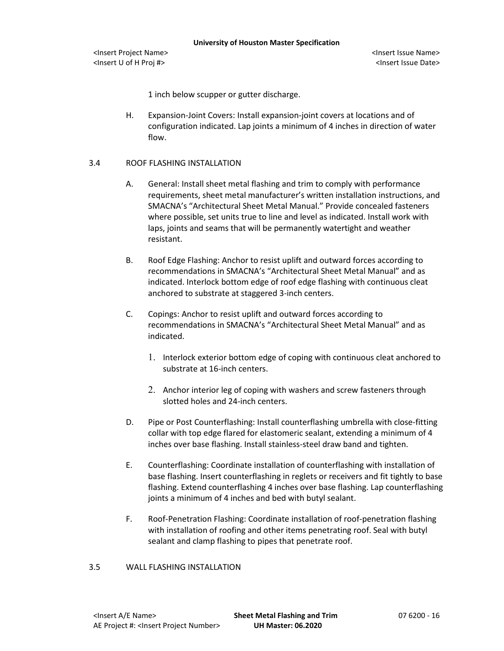1 inch below scupper or gutter discharge.

H. Expansion-Joint Covers: Install expansion-joint covers at locations and of configuration indicated. Lap joints a minimum of 4 inches in direction of water flow.

# 3.4 ROOF FLASHING INSTALLATION

- A. General: Install sheet metal flashing and trim to comply with performance requirements, sheet metal manufacturer's written installation instructions, and SMACNA's "Architectural Sheet Metal Manual." Provide concealed fasteners where possible, set units true to line and level as indicated. Install work with laps, joints and seams that will be permanently watertight and weather resistant.
- B. Roof Edge Flashing: Anchor to resist uplift and outward forces according to recommendations in SMACNA's "Architectural Sheet Metal Manual" and as indicated. Interlock bottom edge of roof edge flashing with continuous cleat anchored to substrate at staggered 3-inch centers.
- C. Copings: Anchor to resist uplift and outward forces according to recommendations in SMACNA's "Architectural Sheet Metal Manual" and as indicated.
	- 1. Interlock exterior bottom edge of coping with continuous cleat anchored to substrate at 16-inch centers.
	- 2. Anchor interior leg of coping with washers and screw fasteners through slotted holes and 24-inch centers.
- D. Pipe or Post Counterflashing: Install counterflashing umbrella with close-fitting collar with top edge flared for elastomeric sealant, extending a minimum of 4 inches over base flashing. Install stainless-steel draw band and tighten.
- E. Counterflashing: Coordinate installation of counterflashing with installation of base flashing. Insert counterflashing in reglets or receivers and fit tightly to base flashing. Extend counterflashing 4 inches over base flashing. Lap counterflashing joints a minimum of 4 inches and bed with butyl sealant.
- F. Roof-Penetration Flashing: Coordinate installation of roof-penetration flashing with installation of roofing and other items penetrating roof. Seal with butyl sealant and clamp flashing to pipes that penetrate roof.

#### 3.5 WALL FLASHING INSTALLATION